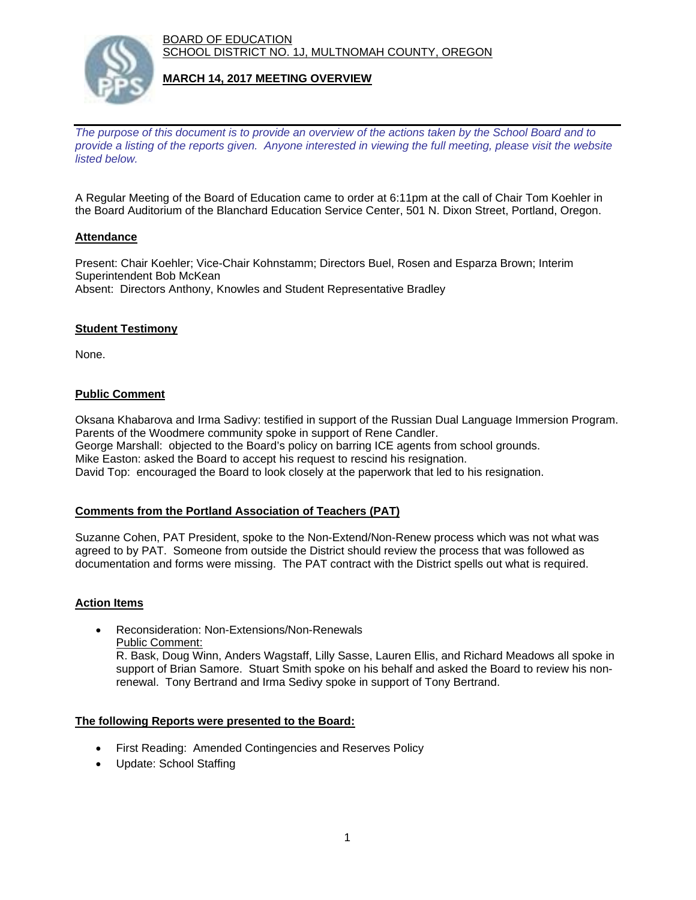BOARD OF EDUCATION SCHOOL DISTRICT NO. 1J, MULTNOMAH COUNTY, OREGON



### **MARCH 14, 2017 MEETING OVERVIEW**

*The purpose of this document is to provide an overview of the actions taken by the School Board and to provide a listing of the reports given. Anyone interested in viewing the full meeting, please visit the website listed below.*

A Regular Meeting of the Board of Education came to order at 6:11pm at the call of Chair Tom Koehler in the Board Auditorium of the Blanchard Education Service Center, 501 N. Dixon Street, Portland, Oregon.

## **Attendance**

Present: Chair Koehler; Vice-Chair Kohnstamm; Directors Buel, Rosen and Esparza Brown; Interim Superintendent Bob McKean Absent: Directors Anthony, Knowles and Student Representative Bradley

### **Student Testimony**

None.

## **Public Comment**

Oksana Khabarova and Irma Sadivy: testified in support of the Russian Dual Language Immersion Program. Parents of the Woodmere community spoke in support of Rene Candler. George Marshall: objected to the Board's policy on barring ICE agents from school grounds. Mike Easton: asked the Board to accept his request to rescind his resignation. David Top: encouraged the Board to look closely at the paperwork that led to his resignation.

# **Comments from the Portland Association of Teachers (PAT)**

Suzanne Cohen, PAT President, spoke to the Non-Extend/Non-Renew process which was not what was agreed to by PAT. Someone from outside the District should review the process that was followed as documentation and forms were missing. The PAT contract with the District spells out what is required.

### **Action Items**

 Reconsideration: Non-Extensions/Non-Renewals Public Comment: R. Bask, Doug Winn, Anders Wagstaff, Lilly Sasse, Lauren Ellis, and Richard Meadows all spoke in support of Brian Samore. Stuart Smith spoke on his behalf and asked the Board to review his nonrenewal. Tony Bertrand and Irma Sedivy spoke in support of Tony Bertrand.

### **The following Reports were presented to the Board:**

- First Reading: Amended Contingencies and Reserves Policy
- Update: School Staffing